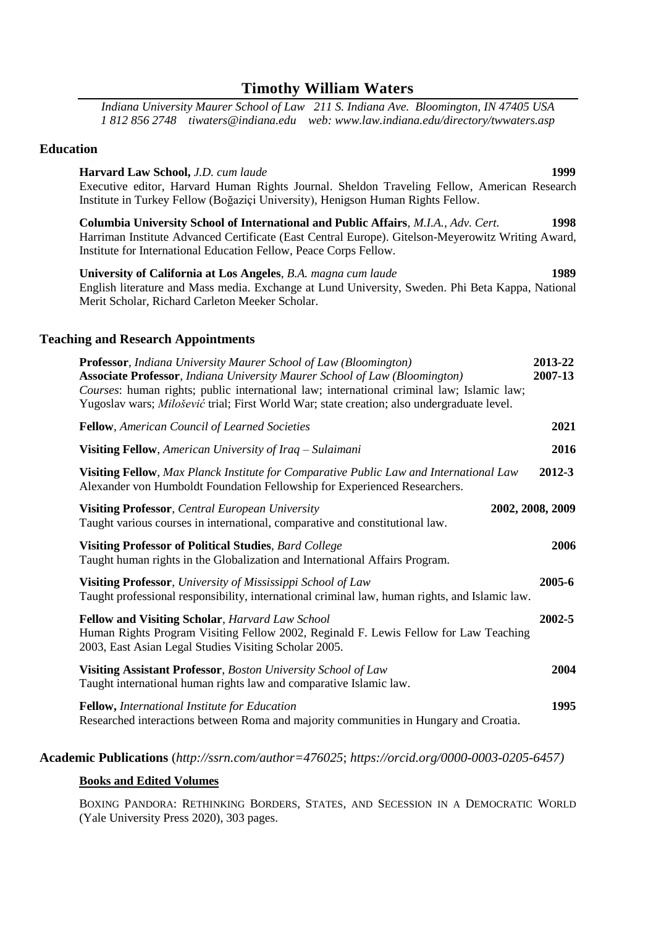# **Timothy William Waters**

*Indiana University Maurer School of Law 211 S. Indiana Ave. Bloomington, IN 47405 USA 1 812 856 2748 tiwaters@indiana.edu web: www.law.indiana.edu/directory/twwaters.asp*

### **Education**

**Harvard Law School,** *J.D. cum laude* **1999** Executive editor, Harvard Human Rights Journal. Sheldon Traveling Fellow, American Research Institute in Turkey Fellow (Boğaziçi University), Henigson Human Rights Fellow.

**Columbia University School of International and Public Affairs**, *M.I.A., Adv. Cert.* **1998** Harriman Institute Advanced Certificate (East Central Europe). Gitelson-Meyerowitz Writing Award, Institute for International Education Fellow, Peace Corps Fellow.

**University of California at Los Angeles**, *B.A. magna cum laude* **1989** English literature and Mass media. Exchange at Lund University, Sweden. Phi Beta Kappa, National Merit Scholar, Richard Carleton Meeker Scholar.

### **Teaching and Research Appointments**

| <b>Professor</b> , Indiana University Maurer School of Law (Bloomington)<br><b>Associate Professor</b> , Indiana University Maurer School of Law (Bloomington)<br>Courses: human rights; public international law; international criminal law; Islamic law;<br>Yugoslav wars; Milošević trial; First World War; state creation; also undergraduate level. | 2013-22<br>2007-13 |
|-----------------------------------------------------------------------------------------------------------------------------------------------------------------------------------------------------------------------------------------------------------------------------------------------------------------------------------------------------------|--------------------|
| Fellow, American Council of Learned Societies                                                                                                                                                                                                                                                                                                             | 2021               |
| Visiting Fellow, American University of Iraq – Sulaimani                                                                                                                                                                                                                                                                                                  | 2016               |
| Visiting Fellow, Max Planck Institute for Comparative Public Law and International Law<br>Alexander von Humboldt Foundation Fellowship for Experienced Researchers.                                                                                                                                                                                       | 2012-3             |
| <b>Visiting Professor, Central European University</b><br>2002, 2008, 2009<br>Taught various courses in international, comparative and constitutional law.                                                                                                                                                                                                |                    |
| <b>Visiting Professor of Political Studies, Bard College</b><br>Taught human rights in the Globalization and International Affairs Program.                                                                                                                                                                                                               | 2006               |
| Visiting Professor, University of Mississippi School of Law<br>Taught professional responsibility, international criminal law, human rights, and Islamic law.                                                                                                                                                                                             | 2005-6             |
| Fellow and Visiting Scholar, Harvard Law School<br>Human Rights Program Visiting Fellow 2002, Reginald F. Lewis Fellow for Law Teaching<br>2003, East Asian Legal Studies Visiting Scholar 2005.                                                                                                                                                          | 2002-5             |
| Visiting Assistant Professor, Boston University School of Law<br>Taught international human rights law and comparative Islamic law.                                                                                                                                                                                                                       | 2004               |
| Fellow, International Institute for Education<br>Researched interactions between Roma and majority communities in Hungary and Croatia.                                                                                                                                                                                                                    | 1995               |

### **Academic Publications** (*http://ssrn.com/author=476025*; *https://orcid.org/0000-0003-0205-6457)*

#### **Books and Edited Volumes**

BOXING PANDORA: RETHINKING BORDERS, STATES, AND SECESSION IN A DEMOCRATIC WORLD (Yale University Press 2020), 303 pages.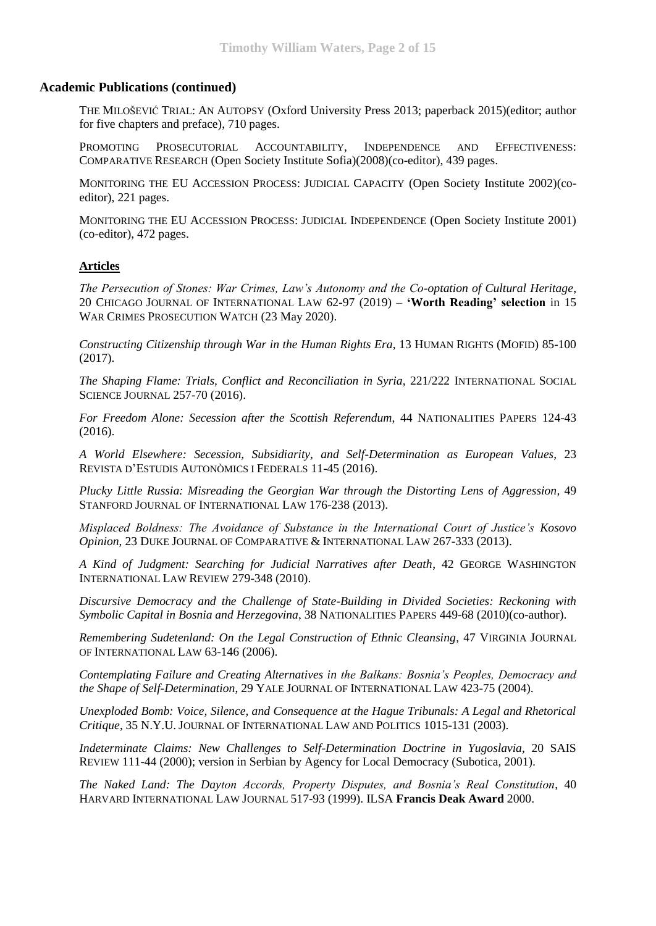# **Academic Publications (continued)**

THE MILOŠEVIĆ TRIAL: AN AUTOPSY (Oxford University Press 2013; paperback 2015)(editor; author for five chapters and preface), 710 pages.

PROMOTING PROSECUTORIAL ACCOUNTABILITY, INDEPENDENCE AND EFFECTIVENESS: COMPARATIVE RESEARCH (Open Society Institute Sofia)(2008)(co-editor), 439 pages.

MONITORING THE EU ACCESSION PROCESS: JUDICIAL CAPACITY (Open Society Institute 2002)(coeditor), 221 pages.

MONITORING THE EU ACCESSION PROCESS: JUDICIAL INDEPENDENCE (Open Society Institute 2001) (co-editor), 472 pages.

### **Articles**

*The Persecution of Stones: War Crimes, Law's Autonomy and the Co-optation of Cultural Heritage*, 20 CHICAGO JOURNAL OF INTERNATIONAL LAW 62-97 (2019) – **'Worth Reading' selection** in 15 WAR CRIMES PROSECUTION WATCH (23 May 2020).

*Constructing Citizenship through War in the Human Rights Era*, 13 HUMAN RIGHTS (MOFID) 85-100 (2017).

*The Shaping Flame: Trials, Conflict and Reconciliation in Syria*, 221/222 INTERNATIONAL SOCIAL SCIENCE JOURNAL 257-70 (2016).

*For Freedom Alone: Secession after the Scottish Referendum*, 44 NATIONALITIES PAPERS 124-43 (2016).

*A World Elsewhere: Secession, Subsidiarity, and Self-Determination as European Values*, 23 REVISTA D'ESTUDIS AUTONÒMICS I FEDERALS 11-45 (2016).

*Plucky Little Russia: Misreading the Georgian War through the Distorting Lens of Aggression*, 49 STANFORD JOURNAL OF INTERNATIONAL LAW 176-238 (2013).

*Misplaced Boldness: The Avoidance of Substance in the International Court of Justice's Kosovo Opinion*, 23 DUKE JOURNAL OF COMPARATIVE & INTERNATIONAL LAW 267-333 (2013).

*A Kind of Judgment: Searching for Judicial Narratives after Death*, 42 GEORGE WASHINGTON INTERNATIONAL LAW REVIEW 279-348 (2010).

*Discursive Democracy and the Challenge of State-Building in Divided Societies: Reckoning with Symbolic Capital in Bosnia and Herzegovina*, 38 NATIONALITIES PAPERS 449-68 (2010)(co-author).

*Remembering Sudetenland: On the Legal Construction of Ethnic Cleansing*, 47 VIRGINIA JOURNAL OF INTERNATIONAL LAW 63-146 (2006).

*Contemplating Failure and Creating Alternatives in the Balkans: Bosnia's Peoples, Democracy and the Shape of Self-Determination*, 29 YALE JOURNAL OF INTERNATIONAL LAW 423-75 (2004).

*Unexploded Bomb: Voice, Silence, and Consequence at the Hague Tribunals: A Legal and Rhetorical Critique*, 35 N.Y.U. JOURNAL OF INTERNATIONAL LAW AND POLITICS 1015-131 (2003).

*Indeterminate Claims: New Challenges to Self-Determination Doctrine in Yugoslavia*, 20 SAIS REVIEW 111-44 (2000); version in Serbian by Agency for Local Democracy (Subotica, 2001).

*The Naked Land: The Dayton Accords, Property Disputes, and Bosnia's Real Constitution*, 40 HARVARD INTERNATIONAL LAW JOURNAL 517-93 (1999). ILSA **Francis Deak Award** 2000.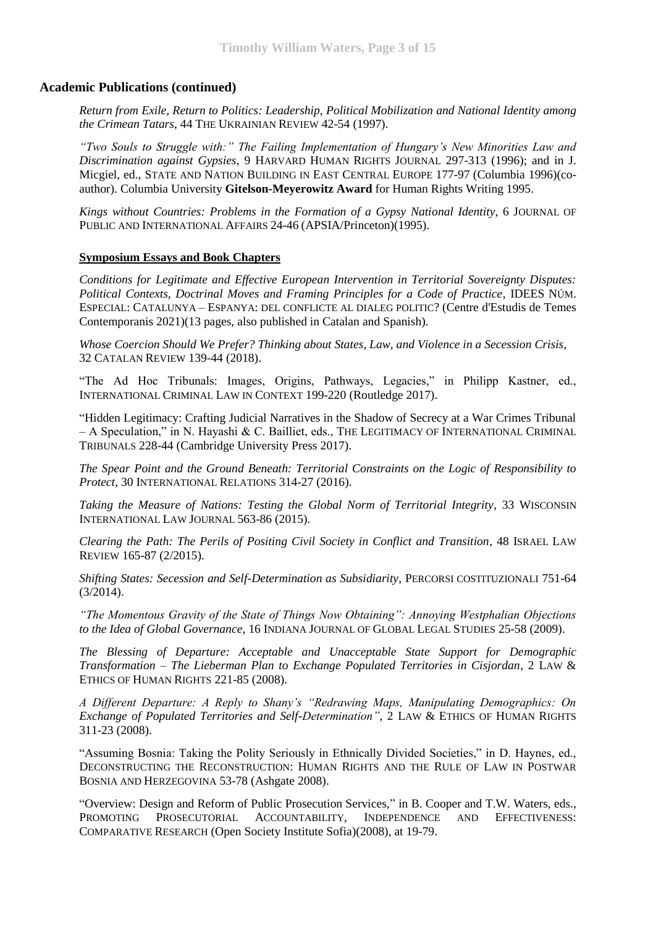# **Academic Publications (continued)**

*Return from Exile, Return to Politics: Leadership, Political Mobilization and National Identity among the Crimean Tatars*, 44 THE UKRAINIAN REVIEW 42-54 (1997).

*"Two Souls to Struggle with:" The Failing Implementation of Hungary's New Minorities Law and Discrimination against Gypsies*, 9 HARVARD HUMAN RIGHTS JOURNAL 297-313 (1996); and in J. Micgiel, ed., STATE AND NATION BUILDING IN EAST CENTRAL EUROPE 177-97 (Columbia 1996)(coauthor). Columbia University **Gitelson-Meyerowitz Award** for Human Rights Writing 1995.

*Kings without Countries: Problems in the Formation of a Gypsy National Identity*, 6 JOURNAL OF PUBLIC AND INTERNATIONAL AFFAIRS 24-46 (APSIA/Princeton)(1995).

### **Symposium Essays and Book Chapters**

*Conditions for Legitimate and Effective European Intervention in Territorial Sovereignty Disputes: Political Contexts, Doctrinal Moves and Framing Principles for a Code of Practice*, IDEES NÚM. ESPECIAL: CATALUNYA – ESPANYA: DEL CONFLICTE AL DIALEG POLITIC? (Centre d'Estudis de Temes Contemporanis 2021)(13 pages, also published in Catalan and Spanish).

*Whose Coercion Should We Prefer? Thinking about States, Law, and Violence in a Secession Crisis*, 32 CATALAN REVIEW 139-44 (2018).

"The Ad Hoc Tribunals: Images, Origins, Pathways, Legacies," in Philipp Kastner, ed., INTERNATIONAL CRIMINAL LAW IN CONTEXT 199-220 (Routledge 2017).

"Hidden Legitimacy: Crafting Judicial Narratives in the Shadow of Secrecy at a War Crimes Tribunal – A Speculation," in N. Hayashi & C. Bailliet, eds., THE LEGITIMACY OF INTERNATIONAL CRIMINAL TRIBUNALS 228-44 (Cambridge University Press 2017).

*The Spear Point and the Ground Beneath: Territorial Constraints on the Logic of Responsibility to Protect*, 30 INTERNATIONAL RELATIONS 314-27 (2016).

*Taking the Measure of Nations: Testing the Global Norm of Territorial Integrity*, 33 WISCONSIN INTERNATIONAL LAW JOURNAL 563-86 (2015).

*Clearing the Path: The Perils of Positing Civil Society in Conflict and Transition*, 48 ISRAEL LAW REVIEW 165-87 (2/2015).

*Shifting States: Secession and Self-Determination as Subsidiarity*, PERCORSI COSTITUZIONALI 751-64 (3/2014).

*"The Momentous Gravity of the State of Things Now Obtaining": Annoying Westphalian Objections to the Idea of Global Governance*, 16 INDIANA JOURNAL OF GLOBAL LEGAL STUDIES 25-58 (2009).

*The Blessing of Departure: Acceptable and Unacceptable State Support for Demographic Transformation – The Lieberman Plan to Exchange Populated Territories in Cisjordan*, 2 LAW & ETHICS OF HUMAN RIGHTS 221-85 (2008).

*A Different Departure: A Reply to Shany's "Redrawing Maps, Manipulating Demographics: On Exchange of Populated Territories and Self-Determination"*, 2 LAW & ETHICS OF HUMAN RIGHTS 311-23 (2008).

"Assuming Bosnia: Taking the Polity Seriously in Ethnically Divided Societies," in D. Haynes, ed., DECONSTRUCTING THE RECONSTRUCTION: HUMAN RIGHTS AND THE RULE OF LAW IN POSTWAR BOSNIA AND HERZEGOVINA 53-78 (Ashgate 2008).

"Overview: Design and Reform of Public Prosecution Services," in B. Cooper and T.W. Waters, eds., PROMOTING PROSECUTORIAL ACCOUNTABILITY, INDEPENDENCE AND EFFECTIVENESS: COMPARATIVE RESEARCH (Open Society Institute Sofia)(2008), at 19-79.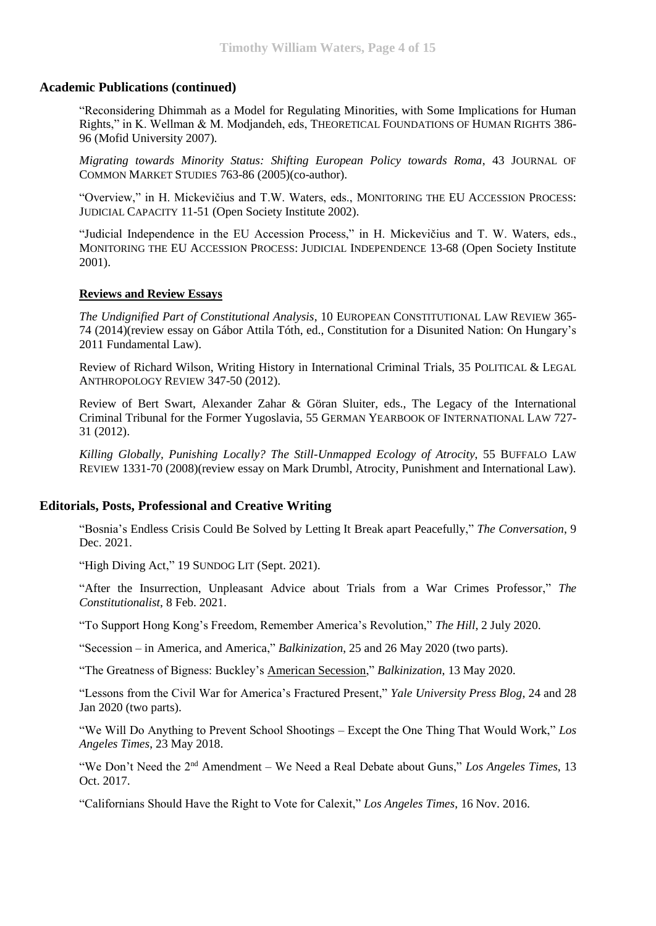# **Academic Publications (continued)**

"Reconsidering Dhimmah as a Model for Regulating Minorities, with Some Implications for Human Rights," in K. Wellman & M. Modjandeh, eds, THEORETICAL FOUNDATIONS OF HUMAN RIGHTS 386- 96 (Mofid University 2007).

*Migrating towards Minority Status: Shifting European Policy towards Roma*, 43 JOURNAL OF COMMON MARKET STUDIES 763-86 (2005)(co-author).

"Overview," in H. Mickevičius and T.W. Waters, eds., MONITORING THE EU ACCESSION PROCESS: JUDICIAL CAPACITY 11-51 (Open Society Institute 2002).

"Judicial Independence in the EU Accession Process," in H. Mickevičius and T. W. Waters, eds., MONITORING THE EU ACCESSION PROCESS: JUDICIAL INDEPENDENCE 13-68 (Open Society Institute 2001).

### **Reviews and Review Essays**

*The Undignified Part of Constitutional Analysis*, 10 EUROPEAN CONSTITUTIONAL LAW REVIEW 365- 74 (2014)(review essay on Gábor Attila Tóth, ed., Constitution for a Disunited Nation: On Hungary's 2011 Fundamental Law).

Review of Richard Wilson, Writing History in International Criminal Trials, 35 POLITICAL & LEGAL ANTHROPOLOGY REVIEW 347-50 (2012).

Review of Bert Swart, Alexander Zahar & Göran Sluiter, eds., The Legacy of the International Criminal Tribunal for the Former Yugoslavia, 55 GERMAN YEARBOOK OF INTERNATIONAL LAW 727- 31 (2012).

*Killing Globally, Punishing Locally? The Still-Unmapped Ecology of Atrocity*, 55 BUFFALO LAW REVIEW 1331-70 (2008)(review essay on Mark Drumbl, Atrocity, Punishment and International Law).

# **Editorials, Posts, Professional and Creative Writing**

"Bosnia's Endless Crisis Could Be Solved by Letting It Break apart Peacefully," *The Conversation*, 9 Dec. 2021.

"High Diving Act," 19 SUNDOG LIT (Sept. 2021).

"After the Insurrection, Unpleasant Advice about Trials from a War Crimes Professor," *The Constitutionalist*, 8 Feb. 2021.

"To Support Hong Kong's Freedom, Remember America's Revolution," *The Hill*, 2 July 2020.

"Secession – in America, and America," *Balkinization*, 25 and 26 May 2020 (two parts).

"The Greatness of Bigness: Buckley's American Secession," *Balkinization*, 13 May 2020.

"Lessons from the Civil War for America's Fractured Present," *Yale University Press Blog*, 24 and 28 Jan 2020 (two parts).

"We Will Do Anything to Prevent School Shootings – Except the One Thing That Would Work," *Los Angeles Times*, 23 May 2018.

"We Don't Need the 2nd Amendment – We Need a Real Debate about Guns," *Los Angeles Times*, 13 Oct. 2017.

"Californians Should Have the Right to Vote for Calexit," *Los Angeles Times*, 16 Nov. 2016.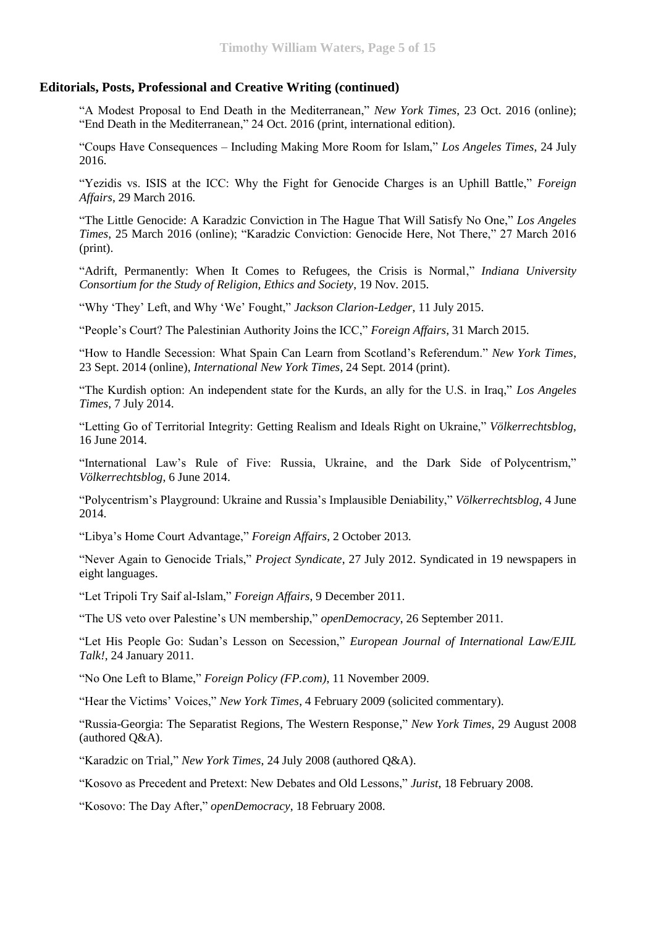# **Editorials, Posts, Professional and Creative Writing (continued)**

"A Modest Proposal to End Death in the Mediterranean," *New York Times*, 23 Oct. 2016 (online); "End Death in the Mediterranean," 24 Oct. 2016 (print, international edition).

"Coups Have Consequences – Including Making More Room for Islam," *Los Angeles Times*, 24 July 2016.

"Yezidis vs. ISIS at the ICC: Why the Fight for Genocide Charges is an Uphill Battle," *Foreign Affairs*, 29 March 2016.

["The](http://www.indiana.edu/~csres/forum.php#Waters) Little Genocide: A Karadzic Conviction in The Hague That Will Satisfy No One," *Los Angeles Times*, 25 March 2016 (online); "Karadzic Conviction: Genocide Here, Not There," 27 March 2016 (print).

["Adrift, Permanently: When It Comes to Refugees, the Crisis is Normal,](http://www.indiana.edu/~csres/forum.php#Waters)" *Indiana University Consortium for the Study of Religion, Ethics and Society*, 19 Nov. 2015.

"Why 'They' Left, and Why 'We' Fought," *Jackson Clarion-Ledger*, 11 July 2015.

"People's Court? The Palestinian Authority Joins the ICC," *Foreign Affairs*, 31 March 2015.

"How to Handle Secession: What Spain Can Learn from Scotland's Referendum." *New York Times*, 23 Sept. 2014 (online), *International New York Times*, 24 Sept. 2014 (print).

"The Kurdish option: An independent state for the Kurds, an ally for the U.S. in Iraq," *Los Angeles Times*, 7 July 2014.

"Letting Go of Territorial Integrity: Getting Realism and Ideals Right on Ukraine," *Völkerrechtsblog*, 16 June 2014.

"International Law's Rule of Five: Russia, Ukraine, and the Dark Side of Polycentrism," *Völkerrechtsblog*, 6 June 2014.

"Polycentrism's Playground: Ukraine and Russia's Implausible Deniability," *Völkerrechtsblog*, 4 June 2014.

"Libya's Home Court Advantage," *Foreign Affairs*, 2 October 2013.

"Never Again to Genocide Trials," *Project Syndicate*, 27 July 2012. Syndicated in 19 newspapers in eight languages.

"Let Tripoli Try Saif al-Islam," *Foreign Affairs*, 9 December 2011.

"The US veto over Palestine's UN membership," *openDemocracy*, 26 September 2011.

"Let His People Go: Sudan's Lesson on Secession," *European Journal of International Law/EJIL Talk!*, 24 January 2011.

"No One Left to Blame," *Foreign Policy (FP.com)*, 11 November 2009.

"Hear the Victims' Voices," *New York Times*, 4 February 2009 (solicited commentary).

"Russia-Georgia: The Separatist Regions, The Western Response," *New York Times*, 29 August 2008 (authored Q&A).

"Karadzic on Trial," *New York Times*, 24 July 2008 (authored Q&A).

"Kosovo as Precedent and Pretext: New Debates and Old Lessons," *Jurist*, 18 February 2008.

"Kosovo: The Day After," *openDemocracy*, 18 February 2008.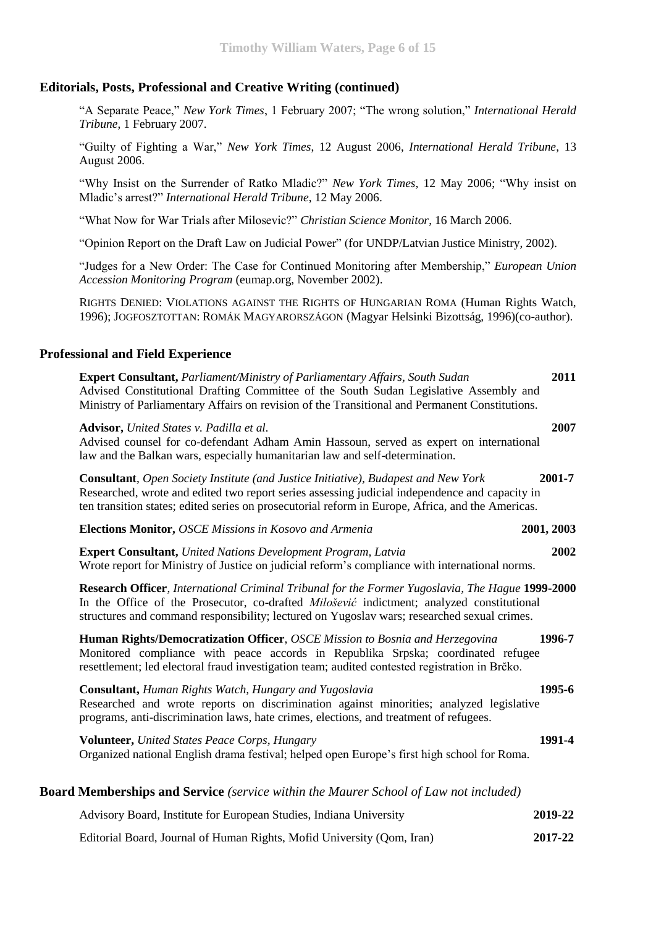# **Editorials, Posts, Professional and Creative Writing (continued)**

"A Separate Peace," *New York Times*, 1 February 2007; "The wrong solution," *International Herald Tribune*, 1 February 2007.

"Guilty of Fighting a War," *New York Times*, 12 August 2006, *International Herald Tribune*, 13 August 2006.

"Why Insist on the Surrender of Ratko Mladic?" *New York Times*, 12 May 2006; "Why insist on Mladic's arrest?" *International Herald Tribune*, 12 May 2006.

"What Now for War Trials after Milosevic?" *Christian Science Monitor*, 16 March 2006.

"Opinion Report on the Draft Law on Judicial Power" (for UNDP/Latvian Justice Ministry, 2002).

"Judges for a New Order: The Case for Continued Monitoring after Membership," *European Union Accession Monitoring Program* (eumap.org, November 2002).

RIGHTS DENIED: VIOLATIONS AGAINST THE RIGHTS OF HUNGARIAN ROMA (Human Rights Watch, 1996); JOGFOSZTOTTAN: ROMÁK MAGYARORSZÁGON (Magyar Helsinki Bizottság, 1996)(co-author).

# **Professional and Field Experience**

| <b>Expert Consultant, Parliament/Ministry of Parliamentary Affairs, South Sudan</b><br>Advised Constitutional Drafting Committee of the South Sudan Legislative Assembly and<br>Ministry of Parliamentary Affairs on revision of the Transitional and Permanent Constitutions.                    | 2011    |
|---------------------------------------------------------------------------------------------------------------------------------------------------------------------------------------------------------------------------------------------------------------------------------------------------|---------|
| Advisor, United States v. Padilla et al.<br>Advised counsel for co-defendant Adham Amin Hassoun, served as expert on international<br>law and the Balkan wars, especially humanitarian law and self-determination.                                                                                | 2007    |
| <b>Consultant</b> , Open Society Institute (and Justice Initiative), Budapest and New York<br>Researched, wrote and edited two report series assessing judicial independence and capacity in<br>ten transition states; edited series on prosecutorial reform in Europe, Africa, and the Americas. | 2001-7  |
| <b>Elections Monitor, OSCE Missions in Kosovo and Armenia</b><br>2001, 2003                                                                                                                                                                                                                       |         |
| <b>Expert Consultant, United Nations Development Program, Latvia</b><br>Wrote report for Ministry of Justice on judicial reform's compliance with international norms.                                                                                                                            | 2002    |
| Research Officer, International Criminal Tribunal for the Former Yugoslavia, The Hague 1999-2000<br>In the Office of the Prosecutor, co-drafted Milošević indictment; analyzed constitutional<br>structures and command responsibility; lectured on Yugoslav wars; researched sexual crimes.      |         |
| Human Rights/Democratization Officer, OSCE Mission to Bosnia and Herzegovina<br>Monitored compliance with peace accords in Republika Srpska; coordinated refugee<br>resettlement; led electoral fraud investigation team; audited contested registration in Brčko.                                | 1996-7  |
| Consultant, Human Rights Watch, Hungary and Yugoslavia<br>Researched and wrote reports on discrimination against minorities; analyzed legislative<br>programs, anti-discrimination laws, hate crimes, elections, and treatment of refugees.                                                       | 1995-6  |
| Volunteer, United States Peace Corps, Hungary<br>Organized national English drama festival; helped open Europe's first high school for Roma.                                                                                                                                                      | 1991-4  |
| <b>Board Memberships and Service</b> (service within the Maurer School of Law not included)                                                                                                                                                                                                       |         |
| Advisory Board, Institute for European Studies, Indiana University                                                                                                                                                                                                                                | 2019-22 |

Editorial Board, Journal of Human Rights, Mofid University (Qom, Iran) **2017-22**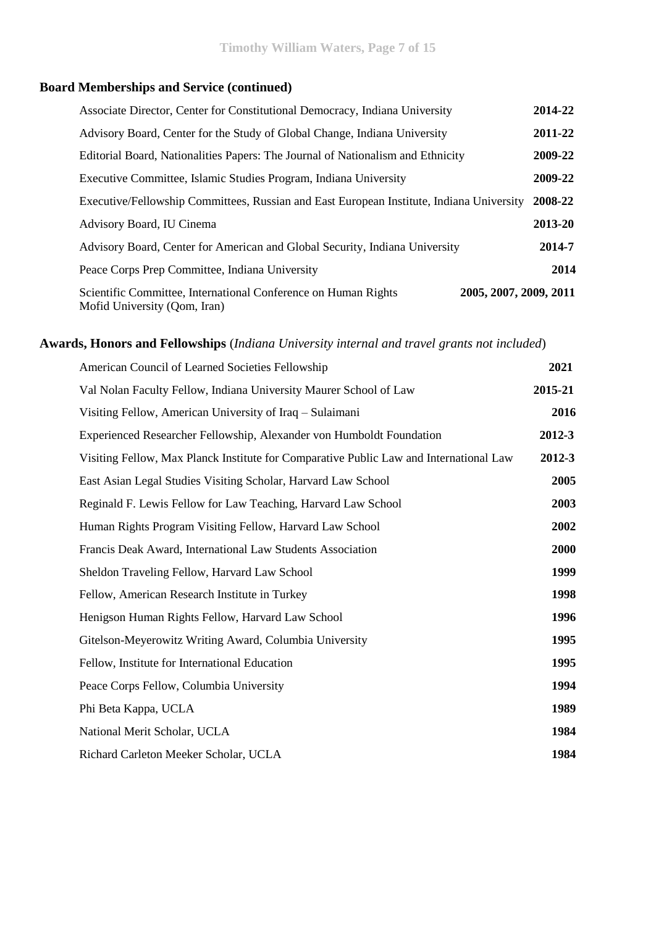# **Board Memberships and Service (continued)**

| Associate Director, Center for Constitutional Democracy, Indiana University                    | 2014-22                |
|------------------------------------------------------------------------------------------------|------------------------|
| Advisory Board, Center for the Study of Global Change, Indiana University                      | 2011-22                |
| Editorial Board, Nationalities Papers: The Journal of Nationalism and Ethnicity                | 2009-22                |
| Executive Committee, Islamic Studies Program, Indiana University                               | 2009-22                |
| Executive/Fellowship Committees, Russian and East European Institute, Indiana University       | 2008-22                |
| Advisory Board, IU Cinema                                                                      | 2013-20                |
| Advisory Board, Center for American and Global Security, Indiana University                    | 2014-7                 |
| Peace Corps Prep Committee, Indiana University                                                 | 2014                   |
| Scientific Committee, International Conference on Human Rights<br>Mofid University (Qom, Iran) | 2005, 2007, 2009, 2011 |

# **Awards, Honors and Fellowships** (*Indiana University internal and travel grants not included*)

| American Council of Learned Societies Fellowship                                       | 2021    |
|----------------------------------------------------------------------------------------|---------|
| Val Nolan Faculty Fellow, Indiana University Maurer School of Law                      | 2015-21 |
| Visiting Fellow, American University of Iraq – Sulaimani                               | 2016    |
| Experienced Researcher Fellowship, Alexander von Humboldt Foundation                   | 2012-3  |
| Visiting Fellow, Max Planck Institute for Comparative Public Law and International Law | 2012-3  |
| East Asian Legal Studies Visiting Scholar, Harvard Law School                          | 2005    |
| Reginald F. Lewis Fellow for Law Teaching, Harvard Law School                          | 2003    |
| Human Rights Program Visiting Fellow, Harvard Law School                               | 2002    |
| Francis Deak Award, International Law Students Association                             | 2000    |
| Sheldon Traveling Fellow, Harvard Law School                                           | 1999    |
| Fellow, American Research Institute in Turkey                                          | 1998    |
| Henigson Human Rights Fellow, Harvard Law School                                       | 1996    |
| Gitelson-Meyerowitz Writing Award, Columbia University                                 | 1995    |
| Fellow, Institute for International Education                                          | 1995    |
| Peace Corps Fellow, Columbia University                                                | 1994    |
| Phi Beta Kappa, UCLA                                                                   | 1989    |
| National Merit Scholar, UCLA                                                           | 1984    |
| Richard Carleton Meeker Scholar, UCLA                                                  | 1984    |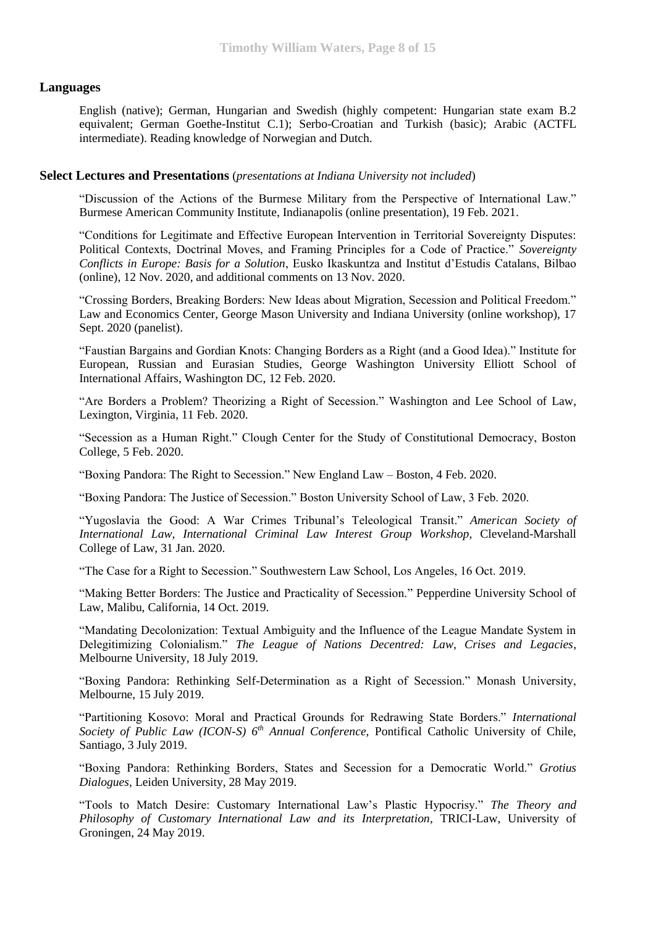# **Languages**

English (native); German, Hungarian and Swedish (highly competent: Hungarian state exam B.2 equivalent; German Goethe-Institut C.1); Serbo-Croatian and Turkish (basic); Arabic (ACTFL intermediate). Reading knowledge of Norwegian and Dutch.

### **Select Lectures and Presentations** (*presentations at Indiana University not included*)

"Discussion of the Actions of the Burmese Military from the Perspective of International Law." Burmese American Community Institute, Indianapolis (online presentation), 19 Feb. 2021.

"Conditions for Legitimate and Effective European Intervention in Territorial Sovereignty Disputes: Political Contexts, Doctrinal Moves, and Framing Principles for a Code of Practice." *Sovereignty Conflicts in Europe: Basis for a Solution*, Eusko Ikaskuntza and Institut d'Estudis Catalans, Bilbao (online), 12 Nov. 2020, and additional comments on 13 Nov. 2020.

"Crossing Borders, Breaking Borders: New Ideas about Migration, Secession and Political Freedom." Law and Economics Center, George Mason University and Indiana University (online workshop), 17 Sept. 2020 (panelist).

"Faustian Bargains and Gordian Knots: Changing Borders as a Right (and a Good Idea)." Institute for European, Russian and Eurasian Studies, George Washington University Elliott School of International Affairs, Washington DC, 12 Feb. 2020.

"Are Borders a Problem? Theorizing a Right of Secession." Washington and Lee School of Law, Lexington, Virginia, 11 Feb. 2020.

"Secession as a Human Right." Clough Center for the Study of Constitutional Democracy, Boston College, 5 Feb. 2020.

"Boxing Pandora: The Right to Secession." New England Law – Boston, 4 Feb. 2020.

"Boxing Pandora: The Justice of Secession." Boston University School of Law, 3 Feb. 2020.

"Yugoslavia the Good: A War Crimes Tribunal's Teleological Transit." *American Society of International Law, International Criminal Law Interest Group Workshop*, Cleveland-Marshall College of Law, 31 Jan. 2020.

"The Case for a Right to Secession." Southwestern Law School, Los Angeles, 16 Oct. 2019.

"Making Better Borders: The Justice and Practicality of Secession." Pepperdine University School of Law, Malibu, California, 14 Oct. 2019.

"Mandating Decolonization: Textual Ambiguity and the Influence of the League Mandate System in Delegitimizing Colonialism." *The League of Nations Decentred: Law, Crises and Legacies*, Melbourne University, 18 July 2019.

"Boxing Pandora: Rethinking Self-Determination as a Right of Secession." Monash University, Melbourne, 15 July 2019.

"Partitioning Kosovo: Moral and Practical Grounds for Redrawing State Borders." *International Society of Public Law (ICON-S) 6th Annual Conference*, Pontifical Catholic University of Chile, Santiago, 3 July 2019.

"Boxing Pandora: Rethinking Borders, States and Secession for a Democratic World." *Grotius Dialogues*, Leiden University, 28 May 2019.

"Tools to Match Desire: Customary International Law's Plastic Hypocrisy." *The Theory and Philosophy of Customary International Law and its Interpretation*, TRICI-Law, University of Groningen, 24 May 2019.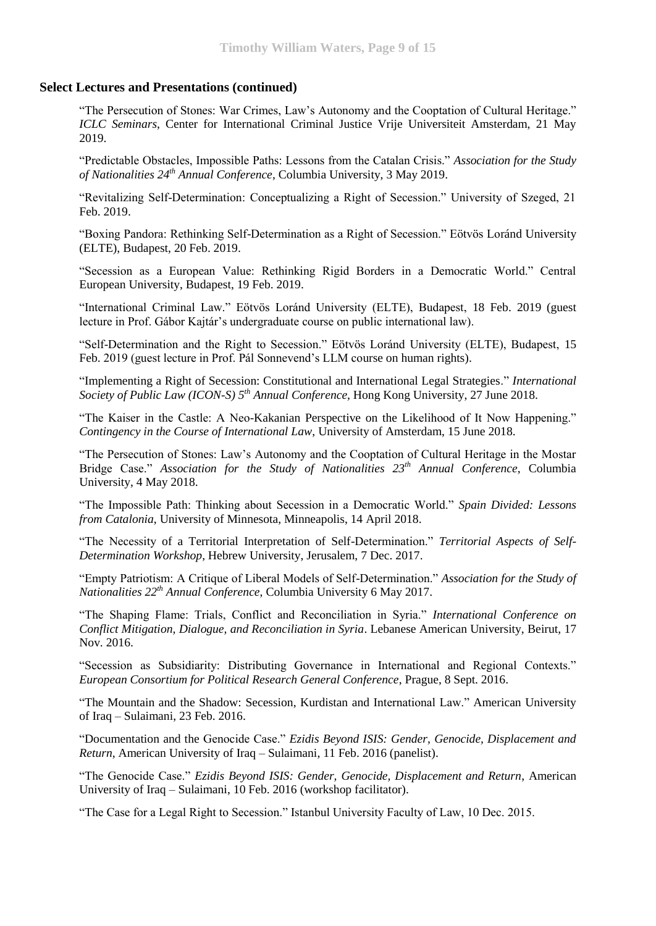"The Persecution of Stones: War Crimes, Law's Autonomy and the Cooptation of Cultural Heritage." *ICLC Seminars*, Center for International Criminal Justice Vrije Universiteit Amsterdam, 21 May 2019.

"Predictable Obstacles, Impossible Paths: Lessons from the Catalan Crisis." *Association for the Study of Nationalities 24th Annual Conference*, Columbia University, 3 May 2019.

"Revitalizing Self-Determination: Conceptualizing a Right of Secession." University of Szeged, 21 Feb. 2019.

"Boxing Pandora: Rethinking Self-Determination as a Right of Secession." Eötvös Loránd University (ELTE), Budapest, 20 Feb. 2019.

"Secession as a European Value: Rethinking Rigid Borders in a Democratic World." Central European University, Budapest, 19 Feb. 2019.

"International Criminal Law." Eötvös Loránd University (ELTE), Budapest, 18 Feb. 2019 (guest lecture in Prof. Gábor Kajtár's undergraduate course on public international law).

"Self-Determination and the Right to Secession." Eötvös Loránd University (ELTE), Budapest, 15 Feb. 2019 (guest lecture in Prof. Pál Sonnevend's LLM course on human rights).

["Implementing a Right of Secession: Constitutional and International Legal Strategies.](https://50.law.hku.hk/icon-s2018/2018/04/23/implementing-a-right-of-secession-constitutional-and-international-legal-strategies/)" *International Society of Public Law (ICON-S) 5th Annual Conference*, Hong Kong University, 27 June 2018.

"The Kaiser in the Castle: A Neo-Kakanian Perspective on the Likelihood of It Now Happening." *Contingency in the Course of International Law*, University of Amsterdam, 15 June 2018.

"The Persecution of Stones: Law's Autonomy and the Cooptation of Cultural Heritage in the Mostar Bridge Case." *Association for the Study of Nationalities 23th Annual Conference*, Columbia University, 4 May 2018.

"The Impossible Path: Thinking about Secession in a Democratic World." *Spain Divided: Lessons from Catalonia*, University of Minnesota, Minneapolis, 14 April 2018.

"The Necessity of a Territorial Interpretation of Self-Determination." *Territorial Aspects of Self-Determination Workshop*, Hebrew University, Jerusalem, 7 Dec. 2017.

"Empty Patriotism: A Critique of Liberal Models of Self-Determination." *Association for the Study of Nationalities 22th Annual Conference*, Columbia University 6 May 2017.

"The Shaping Flame: Trials, Conflict and Reconciliation in Syria." *International Conference on Conflict Mitigation, Dialogue, and Reconciliation in Syria*. Lebanese American University, Beirut, 17 Nov. 2016.

"Secession as Subsidiarity: Distributing Governance in International and Regional Contexts." *European Consortium for Political Research General Conference*, Prague, 8 Sept. 2016.

"The Mountain and the Shadow: Secession, Kurdistan and International Law." American University of Iraq – Sulaimani, 23 Feb. 2016.

"Documentation and the Genocide Case." *Ezidis Beyond ISIS: Gender, Genocide, Displacement and Return*, American University of Iraq – Sulaimani, 11 Feb. 2016 (panelist).

"The Genocide Case." *Ezidis Beyond ISIS: Gender, Genocide, Displacement and Return*, American University of Iraq – Sulaimani, 10 Feb. 2016 (workshop facilitator).

"The Case for a Legal Right to Secession." Istanbul University Faculty of Law, 10 Dec. 2015.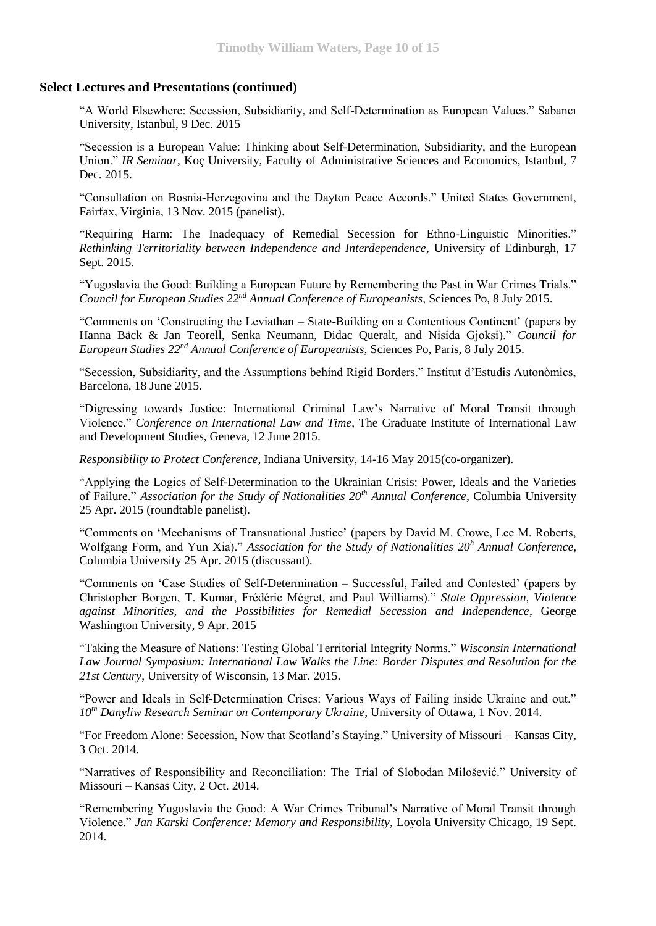"A World Elsewhere: Secession, Subsidiarity, and Self-Determination as European Values." Sabancı University, Istanbul, 9 Dec. 2015

"Secession is a European Value: Thinking about Self-Determination, Subsidiarity, and the European Union." *IR Seminar*, Koç University, Faculty of Administrative Sciences and Economics, Istanbul, 7 Dec. 2015.

"Consultation on Bosnia-Herzegovina and the Dayton Peace Accords." United States Government, Fairfax, Virginia, 13 Nov. 2015 (panelist).

"Requiring Harm: The Inadequacy of Remedial Secession for Ethno-Linguistic Minorities." *Rethinking Territoriality between Independence and Interdependence*, University of Edinburgh, 17 Sept. 2015.

"Yugoslavia the Good: Building a European Future by Remembering the Past in War Crimes Trials." *Council for European Studies 22nd Annual Conference of Europeanists*, Sciences Po, 8 July 2015.

"Comments on 'Constructing the Leviathan – State-Building on a Contentious Continent' (papers by Hanna Bäck & Jan Teorell, Senka Neumann, Didac Queralt, and Nisida Gjoksi)." *Council for European Studies 22nd Annual Conference of Europeanists*, Sciences Po, Paris, 8 July 2015.

"Secession, Subsidiarity, and the Assumptions behind Rigid Borders." Institut d'Estudis Autonòmics, Barcelona, 18 June 2015.

"Digressing towards Justice: International Criminal Law's Narrative of Moral Transit through Violence." *Conference on International Law and Time*, The Graduate Institute of International Law and Development Studies, Geneva, 12 June 2015.

*Responsibility to Protect Conference*, Indiana University, 14-16 May 2015(co-organizer).

"Applying the Logics of Self-Determination to the Ukrainian Crisis: Power, Ideals and the Varieties of Failure." *Association for the Study of Nationalities 20th Annual Conference*, Columbia University 25 Apr. 2015 (roundtable panelist).

"Comments on 'Mechanisms of Transnational Justice' (papers by David M. Crowe, Lee M. Roberts, Wolfgang Form, and Yun Xia)." *Association for the Study of Nationalities 20<sup>h</sup> Annual Conference*, Columbia University 25 Apr. 2015 (discussant).

"Comments on 'Case Studies of Self-Determination – Successful, Failed and Contested' (papers by Christopher Borgen, T. Kumar, Frédéric Mégret, and Paul Williams)." *State Oppression, Violence against Minorities, and the Possibilities for Remedial Secession and Independence*, George Washington University, 9 Apr. 2015

"Taking the Measure of Nations: Testing Global Territorial Integrity Norms." *Wisconsin International Law Journal Symposium: International Law Walks the Line: Border Disputes and Resolution for the 21st Century*, University of Wisconsin, 13 Mar. 2015.

"Power and Ideals in Self-Determination Crises: Various Ways of Failing inside Ukraine and out." *10th Danyliw Research Seminar on Contemporary Ukraine*, University of Ottawa, 1 Nov. 2014.

"For Freedom Alone: Secession, Now that Scotland's Staying." University of Missouri – Kansas City, 3 Oct. 2014.

"Narratives of Responsibility and Reconciliation: The Trial of Slobodan Milošević." University of Missouri – Kansas City, 2 Oct. 2014.

"Remembering Yugoslavia the Good: A War Crimes Tribunal's Narrative of Moral Transit through Violence." *Jan Karski Conference: Memory and Responsibility*, Loyola University Chicago, 19 Sept. 2014.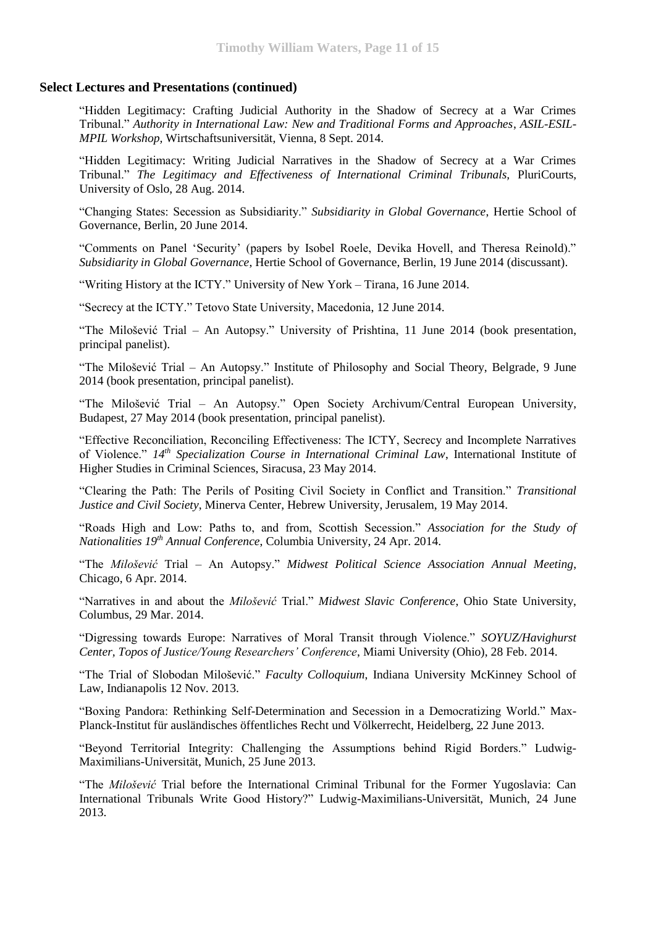"Hidden Legitimacy: Crafting Judicial Authority in the Shadow of Secrecy at a War Crimes Tribunal." *Authority in International Law: New and Traditional Forms and Approaches*, *ASIL-ESIL-MPIL Workshop,* Wirtschaftsuniversität, Vienna, 8 Sept. 2014.

"Hidden Legitimacy: Writing Judicial Narratives in the Shadow of Secrecy at a War Crimes Tribunal." *The Legitimacy and Effectiveness of International Criminal Tribunals,* PluriCourts*,* University of Oslo, 28 Aug. 2014.

"Changing States: Secession as Subsidiarity." *Subsidiarity in Global Governance*, Hertie School of Governance, Berlin, 20 June 2014.

"Comments on Panel 'Security' (papers by Isobel Roele, Devika Hovell, and Theresa Reinold)." *Subsidiarity in Global Governance*, Hertie School of Governance, Berlin, 19 June 2014 (discussant).

"Writing History at the ICTY." University of New York – Tirana, 16 June 2014.

"Secrecy at the ICTY." Tetovo State University, Macedonia, 12 June 2014.

"The Milošević Trial – An Autopsy." University of Prishtina, 11 June 2014 (book presentation, principal panelist).

"The Milošević Trial – An Autopsy." Institute of Philosophy and Social Theory, Belgrade, 9 June 2014 (book presentation, principal panelist).

"The Milošević Trial – An Autopsy." Open Society Archivum/Central European University, Budapest, 27 May 2014 (book presentation, principal panelist).

"Effective Reconciliation, Reconciling Effectiveness: The ICTY, Secrecy and Incomplete Narratives of Violence." *14th Specialization Course in International Criminal Law*, International Institute of Higher Studies in Criminal Sciences, Siracusa, 23 May 2014.

"Clearing the Path: The Perils of Positing Civil Society in Conflict and Transition." *Transitional Justice and Civil Society*, Minerva Center, Hebrew University, Jerusalem, 19 May 2014.

"Roads High and Low: Paths to, and from, Scottish Secession." *Association for the Study of Nationalities 19th Annual Conference*, Columbia University, 24 Apr. 2014.

"The *Milošević* Trial – An Autopsy." *Midwest Political Science Association Annual Meeting*, Chicago, 6 Apr. 2014.

"Narratives in and about the *Milošević* Trial." *Midwest Slavic Conference*, Ohio State University, Columbus, 29 Mar. 2014.

"Digressing towards Europe: Narratives of Moral Transit through Violence." *SOYUZ/Havighurst Center, Topos of Justice/Young Researchers' Conference*, Miami University (Ohio), 28 Feb. 2014.

"The Trial of Slobodan Milošević." *Faculty Colloquium*, Indiana University McKinney School of Law, Indianapolis 12 Nov. 2013.

"Boxing Pandora: Rethinking Self-Determination and Secession in a Democratizing World." Max-Planck-Institut für ausländisches öffentliches Recht und Völkerrecht, Heidelberg, 22 June 2013.

"Beyond Territorial Integrity: Challenging the Assumptions behind Rigid Borders." Ludwig-Maximilians-Universität, Munich, 25 June 2013.

"The *Milošević* Trial before the International Criminal Tribunal for the Former Yugoslavia: Can International Tribunals Write Good History?" Ludwig-Maximilians-Universität, Munich, 24 June 2013.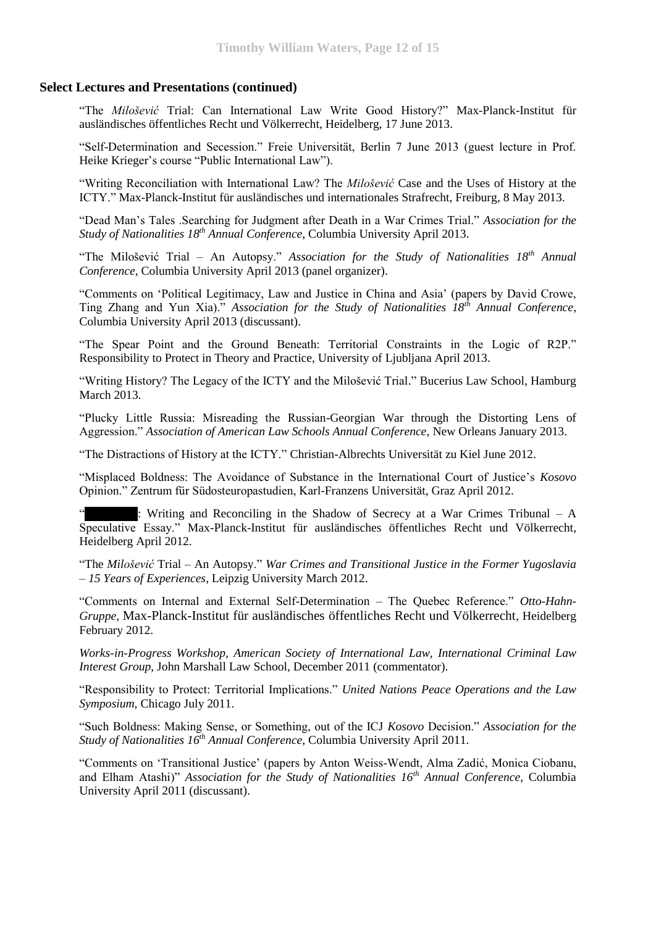"The *Milošević* Trial: Can International Law Write Good History?" Max-Planck-Institut für ausländisches öffentliches Recht und Völkerrecht, Heidelberg, 17 June 2013.

"Self-Determination and Secession." Freie Universität, Berlin 7 June 2013 (guest lecture in Prof. Heike Krieger's course "Public International Law").

"Writing Reconciliation with International Law? The *Milošević* Case and the Uses of History at the ICTY." Max-Planck-Institut für ausländisches und internationales Strafrecht, Freiburg, 8 May 2013.

"Dead Man's Tales .Searching for Judgment after Death in a War Crimes Trial." *Association for the Study of Nationalities 18th Annual Conference*, Columbia University April 2013.

"The Milošević Trial – An Autopsy." *Association for the Study of Nationalities 18th Annual Conference*, Columbia University April 2013 (panel organizer).

"Comments on 'Political Legitimacy, Law and Justice in China and Asia' (papers by David Crowe, Ting Zhang and Yun Xia)." *Association for the Study of Nationalities 18th Annual Conference*, Columbia University April 2013 (discussant).

"The Spear Point and the Ground Beneath: Territorial Constraints in the Logic of R2P." Responsibility to Protect in Theory and Practice, University of Ljubljana April 2013.

"Writing History? The Legacy of the ICTY and the Milošević Trial." Bucerius Law School, Hamburg March 2013.

"Plucky Little Russia: Misreading the Russian-Georgian War through the Distorting Lens of Aggression." *Association of American Law Schools Annual Conference*, New Orleans January 2013.

"The Distractions of History at the ICTY." Christian-Albrechts Universität zu Kiel June 2012.

"Misplaced Boldness: The Avoidance of Substance in the International Court of Justice's *Kosovo* Opinion." Zentrum für Südosteuropastudien, Karl-Franzens Universität, Graz April 2012.

: Writing and Reconciling in the Shadow of Secrecy at a War Crimes Tribunal  $- A$ Speculative Essay." Max-Planck-Institut für ausländisches öffentliches Recht und Völkerrecht, Heidelberg April 2012.

"The *Milošević* Trial – An Autopsy." *War Crimes and Transitional Justice in the Former Yugoslavia – 15 Years of Experiences*, Leipzig University March 2012.

"Comments on Internal and External Self-Determination – The Quebec Reference." *Otto-Hahn-Gruppe*, Max-Planck-Institut für ausländisches öffentliches Recht und Völkerrecht, Heidelberg February 2012.

*Works-in-Progress Workshop, American Society of International Law, International Criminal Law Interest Group*, John Marshall Law School, December 2011 (commentator).

"Responsibility to Protect: Territorial Implications." *United Nations Peace Operations and the Law Symposium*, Chicago July 2011.

"Such Boldness: Making Sense, or Something, out of the ICJ *Kosovo* Decision." *Association for the Study of Nationalities 16th Annual Conference*, Columbia University April 2011.

"Comments on 'Transitional Justice' (papers by Anton Weiss-Wendt, Alma Zadić, Monica Ciobanu, and Elham Atashi)" *Association for the Study of Nationalities 16th Annual Conference*, Columbia University April 2011 (discussant).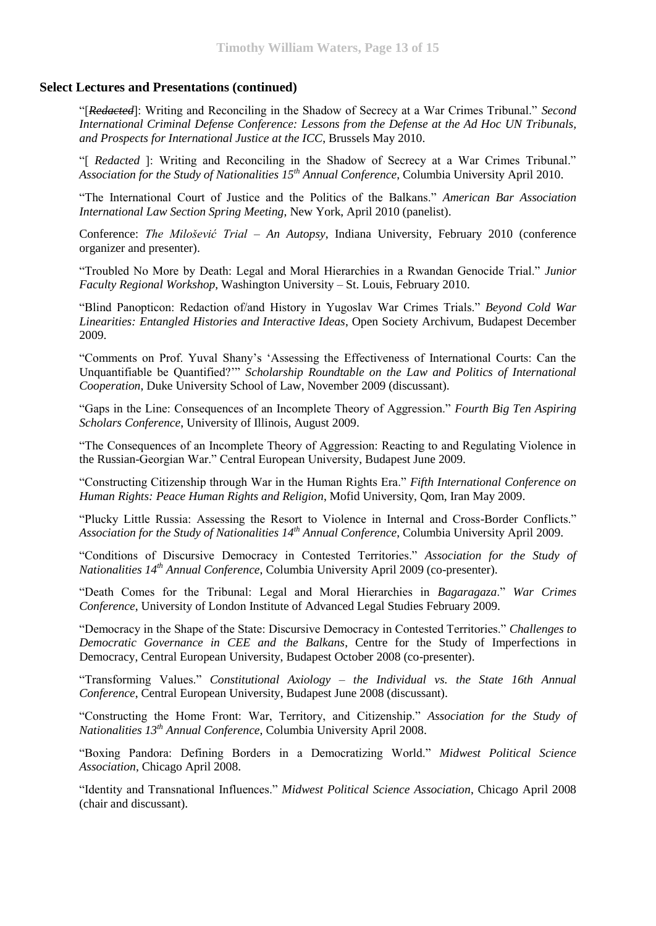"[*Redacted*]: Writing and Reconciling in the Shadow of Secrecy at a War Crimes Tribunal." *Second International Criminal Defense Conference: Lessons from the Defense at the Ad Hoc UN Tribunals, and Prospects for International Justice at the ICC*, Brussels May 2010.

"[ *Redacted* ]: Writing and Reconciling in the Shadow of Secrecy at a War Crimes Tribunal." *Association for the Study of Nationalities 15th Annual Conference*, Columbia University April 2010.

"The International Court of Justice and the Politics of the Balkans." *American Bar Association International Law Section Spring Meeting*, New York, April 2010 (panelist).

Conference: *The Milošević Trial – An Autopsy*, Indiana University, February 2010 (conference organizer and presenter).

"Troubled No More by Death: Legal and Moral Hierarchies in a Rwandan Genocide Trial." *Junior Faculty Regional Workshop*, Washington University – St. Louis, February 2010.

"Blind Panopticon: Redaction of/and History in Yugoslav War Crimes Trials." *Beyond Cold War Linearities: Entangled Histories and Interactive Ideas*, Open Society Archivum, Budapest December 2009.

"Comments on Prof. Yuval Shany's 'Assessing the Effectiveness of International Courts: Can the Unquantifiable be Quantified?'" *Scholarship Roundtable on the Law and Politics of International Cooperation*, Duke University School of Law, November 2009 (discussant).

"Gaps in the Line: Consequences of an Incomplete Theory of Aggression." *Fourth Big Ten Aspiring Scholars Conference*, University of Illinois, August 2009.

"The Consequences of an Incomplete Theory of Aggression: Reacting to and Regulating Violence in the Russian-Georgian War." Central European University, Budapest June 2009.

"Constructing Citizenship through War in the Human Rights Era." *Fifth International Conference on Human Rights: Peace Human Rights and Religion*, Mofid University, Qom, Iran May 2009.

"Plucky Little Russia: Assessing the Resort to Violence in Internal and Cross-Border Conflicts." *Association for the Study of Nationalities 14th Annual Conference*, Columbia University April 2009.

"Conditions of Discursive Democracy in Contested Territories." *Association for the Study of Nationalities 14th Annual Conference*, Columbia University April 2009 (co-presenter).

"Death Comes for the Tribunal: Legal and Moral Hierarchies in *Bagaragaza*." *War Crimes Conference*, University of London Institute of Advanced Legal Studies February 2009.

"Democracy in the Shape of the State: Discursive Democracy in Contested Territories." *Challenges to Democratic Governance in CEE and the Balkans*, Centre for the Study of Imperfections in Democracy, Central European University, Budapest October 2008 (co-presenter).

"Transforming Values." *Constitutional Axiology – the Individual vs. the State 16th Annual Conference*, Central European University, Budapest June 2008 (discussant).

"Constructing the Home Front: War, Territory, and Citizenship." *Association for the Study of Nationalities 13th Annual Conference*, Columbia University April 2008.

"Boxing Pandora: Defining Borders in a Democratizing World." *Midwest Political Science Association*, Chicago April 2008.

"Identity and Transnational Influences." *Midwest Political Science Association*, Chicago April 2008 (chair and discussant).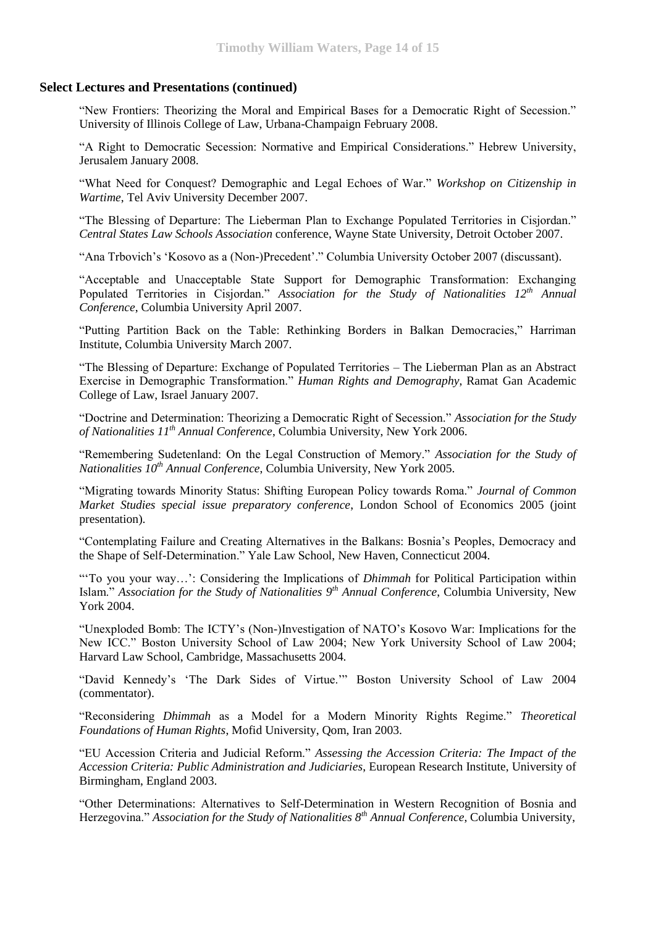"New Frontiers: Theorizing the Moral and Empirical Bases for a Democratic Right of Secession." University of Illinois College of Law, Urbana-Champaign February 2008.

"A Right to Democratic Secession: Normative and Empirical Considerations." Hebrew University, Jerusalem January 2008.

"What Need for Conquest? Demographic and Legal Echoes of War." *Workshop on Citizenship in Wartime*, Tel Aviv University December 2007.

"The Blessing of Departure: The Lieberman Plan to Exchange Populated Territories in Cisjordan." *Central States Law Schools Association* conference, Wayne State University, Detroit October 2007.

"Ana Trbovich's 'Kosovo as a (Non-)Precedent'." Columbia University October 2007 (discussant).

"Acceptable and Unacceptable State Support for Demographic Transformation: Exchanging Populated Territories in Cisjordan." *Association for the Study of Nationalities 12th Annual Conference*, Columbia University April 2007.

"Putting Partition Back on the Table: Rethinking Borders in Balkan Democracies," Harriman Institute, Columbia University March 2007.

"The Blessing of Departure: Exchange of Populated Territories – The Lieberman Plan as an Abstract Exercise in Demographic Transformation." *Human Rights and Demography*, Ramat Gan Academic College of Law, Israel January 2007.

"Doctrine and Determination: Theorizing a Democratic Right of Secession." *Association for the Study of Nationalities 11th Annual Conference*, Columbia University, New York 2006.

"Remembering Sudetenland: On the Legal Construction of Memory." *Association for the Study of Nationalities 10th Annual Conference*, Columbia University, New York 2005.

"Migrating towards Minority Status: Shifting European Policy towards Roma." *Journal of Common Market Studies special issue preparatory conference*, London School of Economics 2005 (joint presentation).

"Contemplating Failure and Creating Alternatives in the Balkans: Bosnia's Peoples, Democracy and the Shape of Self-Determination." Yale Law School, New Haven, Connecticut 2004.

"'To you your way…': Considering the Implications of *Dhimmah* for Political Participation within Islam." *Association for the Study of Nationalities 9th Annual Conference*, Columbia University, New York 2004.

"Unexploded Bomb: The ICTY's (Non-)Investigation of NATO's Kosovo War: Implications for the New ICC." Boston University School of Law 2004; New York University School of Law 2004; Harvard Law School, Cambridge, Massachusetts 2004.

"David Kennedy's 'The Dark Sides of Virtue.'" Boston University School of Law 2004 (commentator).

"Reconsidering *Dhimmah* as a Model for a Modern Minority Rights Regime." *Theoretical Foundations of Human Rights*, Mofid University, Qom, Iran 2003.

"EU Accession Criteria and Judicial Reform." *Assessing the Accession Criteria: The Impact of the Accession Criteria: Public Administration and Judiciaries*, European Research Institute, University of Birmingham, England 2003.

"Other Determinations: Alternatives to Self-Determination in Western Recognition of Bosnia and Herzegovina." *Association for the Study of Nationalities 8th Annual Conference*, Columbia University,